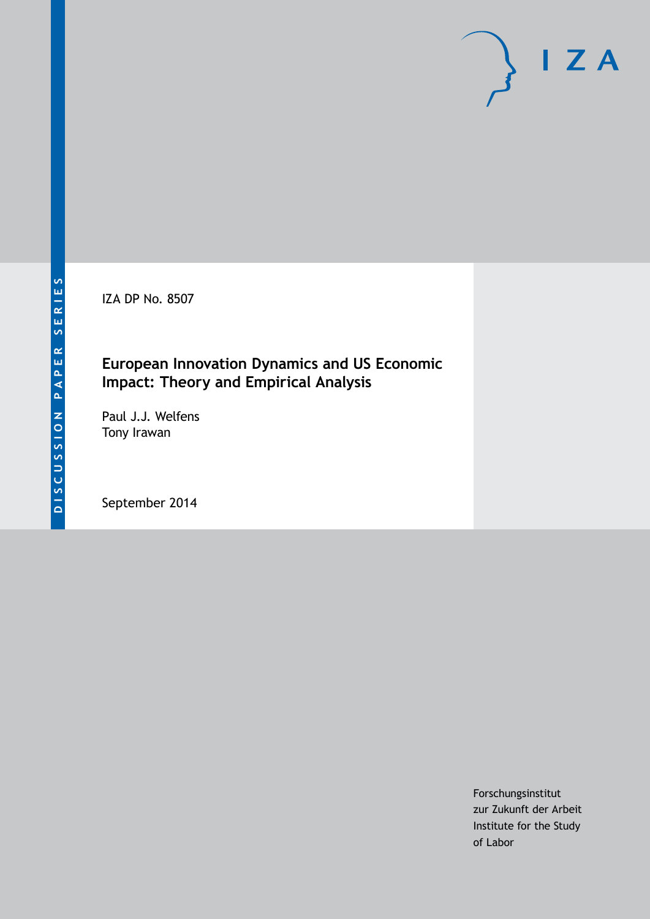IZA DP No. 8507

### **European Innovation Dynamics and US Economic Impact: Theory and Empirical Analysis**

Paul J.J. Welfens Tony Irawan

September 2014

Forschungsinstitut zur Zukunft der Arbeit Institute for the Study of Labor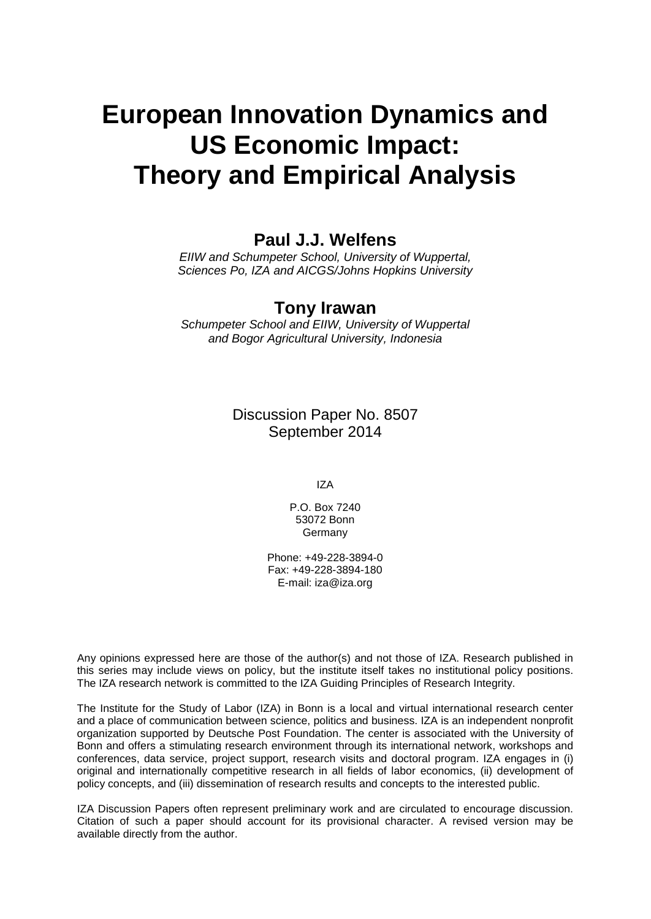# **European Innovation Dynamics and US Economic Impact: Theory and Empirical Analysis**

### **Paul J.J. Welfens**

*EIIW and Schumpeter School, University of Wuppertal, Sciences Po, IZA and AICGS/Johns Hopkins University*

### **Tony Irawan**

*Schumpeter School and EIIW, University of Wuppertal and Bogor Agricultural University, Indonesia*

> Discussion Paper No. 8507 September 2014

> > IZA

P.O. Box 7240 53072 Bonn Germany

Phone: +49-228-3894-0 Fax: +49-228-3894-180 E-mail: [iza@iza.org](mailto:iza@iza.org)

Any opinions expressed here are those of the author(s) and not those of IZA. Research published in this series may include views on policy, but the institute itself takes no institutional policy positions. The IZA research network is committed to the IZA Guiding Principles of Research Integrity.

The Institute for the Study of Labor (IZA) in Bonn is a local and virtual international research center and a place of communication between science, politics and business. IZA is an independent nonprofit organization supported by Deutsche Post Foundation. The center is associated with the University of Bonn and offers a stimulating research environment through its international network, workshops and conferences, data service, project support, research visits and doctoral program. IZA engages in (i) original and internationally competitive research in all fields of labor economics, (ii) development of policy concepts, and (iii) dissemination of research results and concepts to the interested public.

<span id="page-1-0"></span>IZA Discussion Papers often represent preliminary work and are circulated to encourage discussion. Citation of such a paper should account for its provisional character. A revised version may be available directly from the author.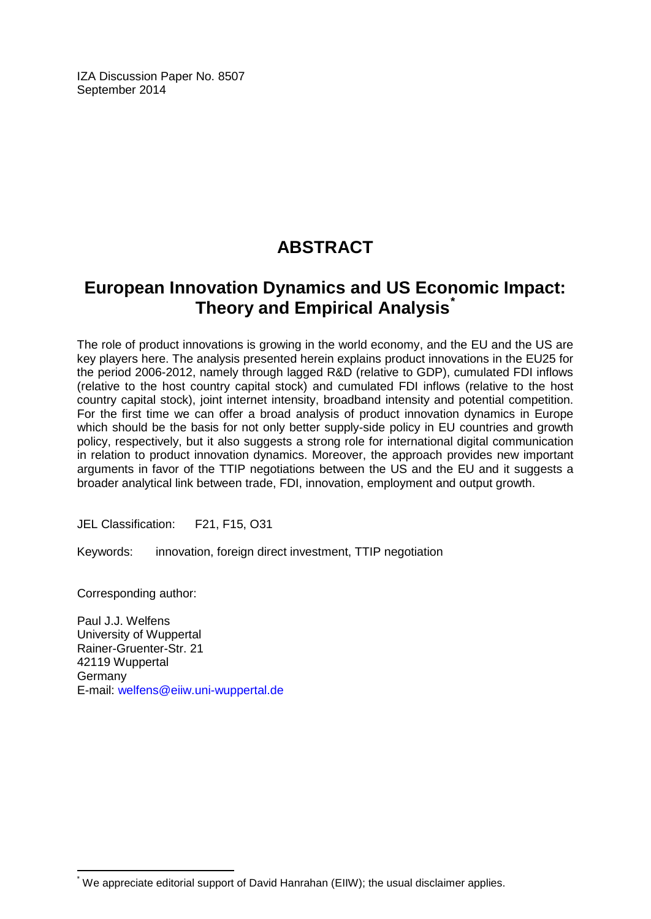IZA Discussion Paper No. 8507 September 2014

# **ABSTRACT**

## **European Innovation Dynamics and US Economic Impact: Theory and Empirical Analysis[\\*](#page-1-0)**

The role of product innovations is growing in the world economy, and the EU and the US are key players here. The analysis presented herein explains product innovations in the EU25 for the period 2006-2012, namely through lagged R&D (relative to GDP), cumulated FDI inflows (relative to the host country capital stock) and cumulated FDI inflows (relative to the host country capital stock), joint internet intensity, broadband intensity and potential competition. For the first time we can offer a broad analysis of product innovation dynamics in Europe which should be the basis for not only better supply-side policy in EU countries and growth policy, respectively, but it also suggests a strong role for international digital communication in relation to product innovation dynamics. Moreover, the approach provides new important arguments in favor of the TTIP negotiations between the US and the EU and it suggests a broader analytical link between trade, FDI, innovation, employment and output growth.

JEL Classification: F21, F15, O31

Keywords: innovation, foreign direct investment, TTIP negotiation

Corresponding author:

Paul J.J. Welfens University of Wuppertal Rainer-Gruenter-Str. 21 42119 Wuppertal Germany E-mail: [welfens@eiiw.uni-wuppertal.de](mailto:welfens@eiiw.uni-wuppertal.de)

\* We appreciate editorial support of David Hanrahan (EIIW); the usual disclaimer applies.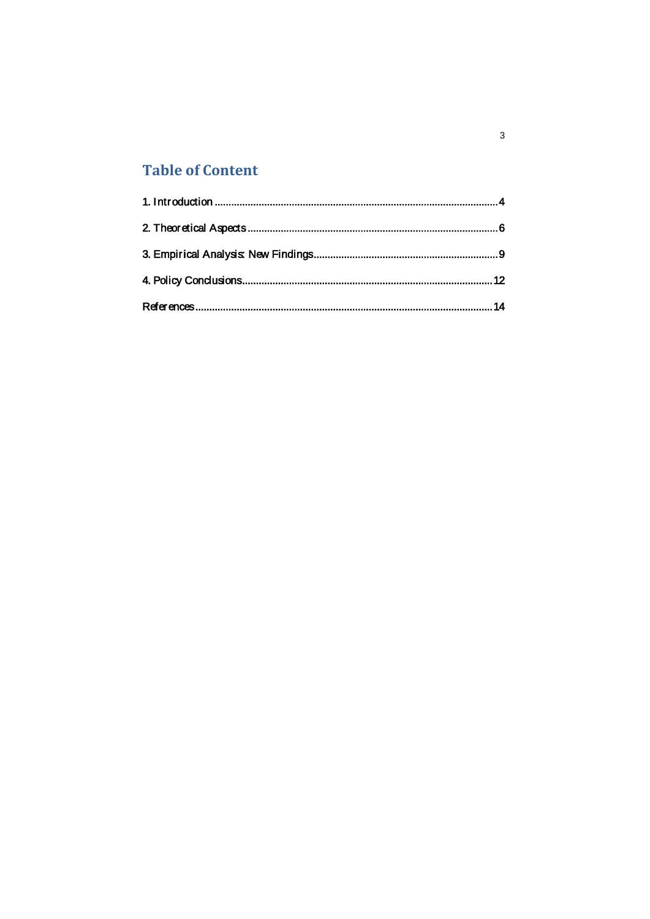# **Table of Content**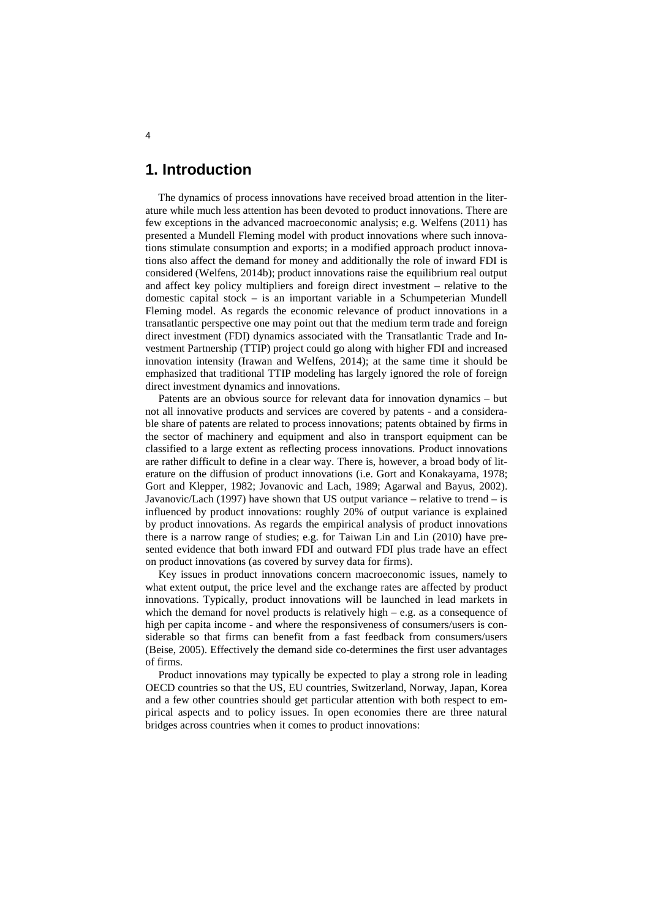### <span id="page-4-0"></span>**1. Introduction**

The dynamics of process innovations have received broad attention in the literature while much less attention has been devoted to product innovations. There are few exceptions in the advanced macroeconomic analysis; e.g. Welfens (2011) has presented a Mundell Fleming model with product innovations where such innovations stimulate consumption and exports; in a modified approach product innovations also affect the demand for money and additionally the role of inward FDI is considered (Welfens, 2014b); product innovations raise the equilibrium real output and affect key policy multipliers and foreign direct investment – relative to the domestic capital stock – is an important variable in a Schumpeterian Mundell Fleming model. As regards the economic relevance of product innovations in a transatlantic perspective one may point out that the medium term trade and foreign direct investment (FDI) dynamics associated with the Transatlantic Trade and Investment Partnership (TTIP) project could go along with higher FDI and increased innovation intensity (Irawan and Welfens, 2014); at the same time it should be emphasized that traditional TTIP modeling has largely ignored the role of foreign direct investment dynamics and innovations.

Patents are an obvious source for relevant data for innovation dynamics – but not all innovative products and services are covered by patents - and a considerable share of patents are related to process innovations; patents obtained by firms in the sector of machinery and equipment and also in transport equipment can be classified to a large extent as reflecting process innovations. Product innovations are rather difficult to define in a clear way. There is, however, a broad body of literature on the diffusion of product innovations (i.e. Gort and Konakayama, 1978; Gort and Klepper, 1982; Jovanovic and Lach, 1989; Agarwal and Bayus, 2002). Javanovic/Lach (1997) have shown that US output variance – relative to trend – is influenced by product innovations: roughly 20% of output variance is explained by product innovations. As regards the empirical analysis of product innovations there is a narrow range of studies; e.g. for Taiwan Lin and Lin (2010) have presented evidence that both inward FDI and outward FDI plus trade have an effect on product innovations (as covered by survey data for firms).

Key issues in product innovations concern macroeconomic issues, namely to what extent output, the price level and the exchange rates are affected by product innovations. Typically, product innovations will be launched in lead markets in which the demand for novel products is relatively high  $-$  e.g. as a consequence of high per capita income - and where the responsiveness of consumers/users is considerable so that firms can benefit from a fast feedback from consumers/users (Beise, 2005). Effectively the demand side co-determines the first user advantages of firms.

Product innovations may typically be expected to play a strong role in leading OECD countries so that the US, EU countries, Switzerland, Norway, Japan, Korea and a few other countries should get particular attention with both respect to empirical aspects and to policy issues. In open economies there are three natural bridges across countries when it comes to product innovations: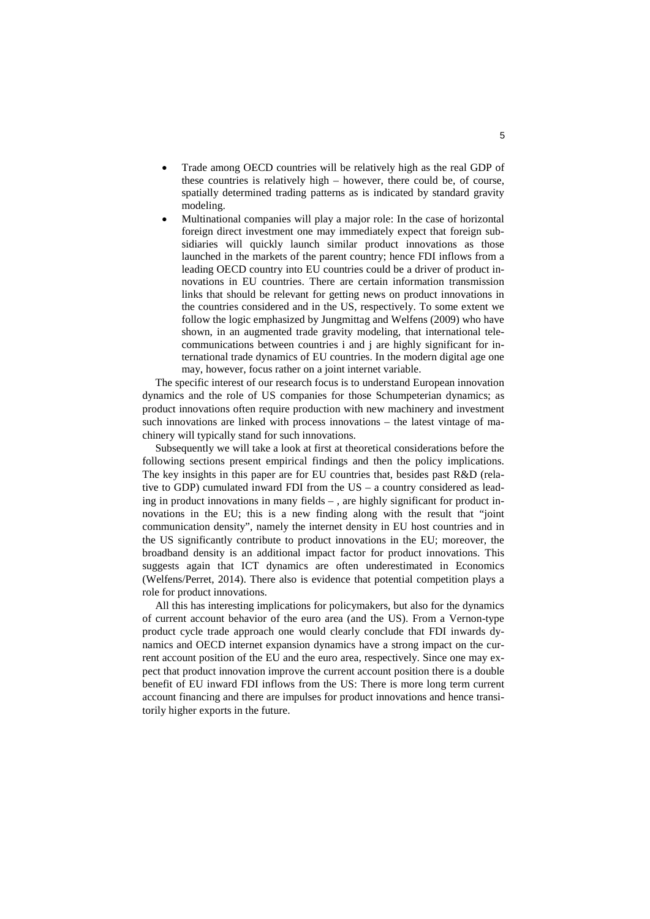- Trade among OECD countries will be relatively high as the real GDP of these countries is relatively high – however, there could be, of course, spatially determined trading patterns as is indicated by standard gravity modeling.
- Multinational companies will play a major role: In the case of horizontal foreign direct investment one may immediately expect that foreign subsidiaries will quickly launch similar product innovations as those launched in the markets of the parent country; hence FDI inflows from a leading OECD country into EU countries could be a driver of product innovations in EU countries. There are certain information transmission links that should be relevant for getting news on product innovations in the countries considered and in the US, respectively. To some extent we follow the logic emphasized by Jungmittag and Welfens (2009) who have shown, in an augmented trade gravity modeling, that international telecommunications between countries i and j are highly significant for international trade dynamics of EU countries. In the modern digital age one may, however, focus rather on a joint internet variable.

The specific interest of our research focus is to understand European innovation dynamics and the role of US companies for those Schumpeterian dynamics; as product innovations often require production with new machinery and investment such innovations are linked with process innovations – the latest vintage of machinery will typically stand for such innovations.

Subsequently we will take a look at first at theoretical considerations before the following sections present empirical findings and then the policy implications. The key insights in this paper are for EU countries that, besides past R&D (relative to GDP) cumulated inward FDI from the US – a country considered as leading in product innovations in many fields – , are highly significant for product innovations in the EU; this is a new finding along with the result that "joint communication density", namely the internet density in EU host countries and in the US significantly contribute to product innovations in the EU; moreover, the broadband density is an additional impact factor for product innovations. This suggests again that ICT dynamics are often underestimated in Economics (Welfens/Perret, 2014). There also is evidence that potential competition plays a role for product innovations.

All this has interesting implications for policymakers, but also for the dynamics of current account behavior of the euro area (and the US). From a Vernon-type product cycle trade approach one would clearly conclude that FDI inwards dynamics and OECD internet expansion dynamics have a strong impact on the current account position of the EU and the euro area, respectively. Since one may expect that product innovation improve the current account position there is a double benefit of EU inward FDI inflows from the US: There is more long term current account financing and there are impulses for product innovations and hence transitorily higher exports in the future.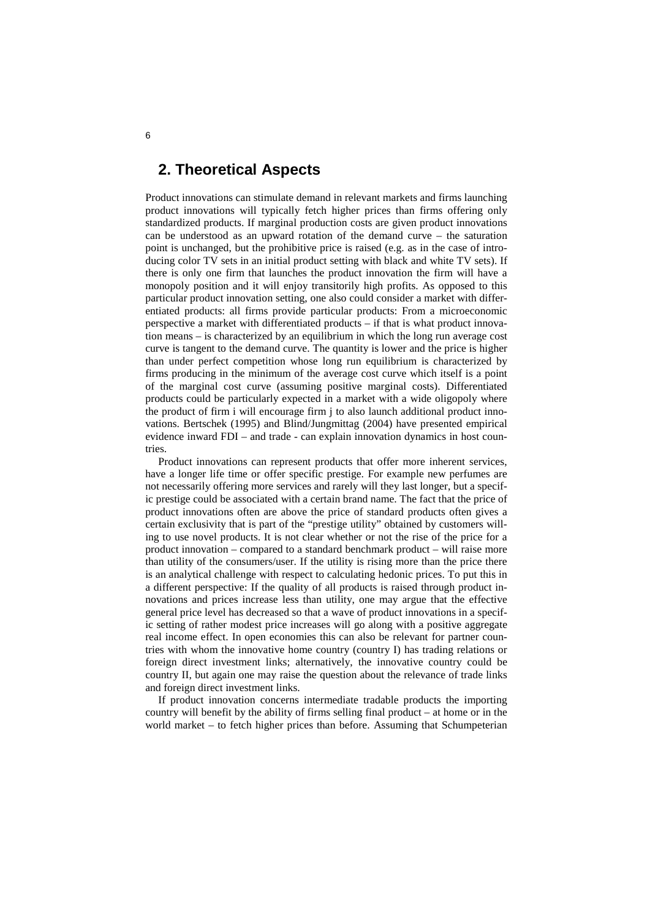#### <span id="page-6-0"></span>**2. Theoretical Aspects**

Product innovations can stimulate demand in relevant markets and firms launching product innovations will typically fetch higher prices than firms offering only standardized products. If marginal production costs are given product innovations can be understood as an upward rotation of the demand curve – the saturation point is unchanged, but the prohibitive price is raised (e.g. as in the case of introducing color TV sets in an initial product setting with black and white TV sets). If there is only one firm that launches the product innovation the firm will have a monopoly position and it will enjoy transitorily high profits. As opposed to this particular product innovation setting, one also could consider a market with differentiated products: all firms provide particular products: From a microeconomic perspective a market with differentiated products – if that is what product innovation means – is characterized by an equilibrium in which the long run average cost curve is tangent to the demand curve. The quantity is lower and the price is higher than under perfect competition whose long run equilibrium is characterized by firms producing in the minimum of the average cost curve which itself is a point of the marginal cost curve (assuming positive marginal costs). Differentiated products could be particularly expected in a market with a wide oligopoly where the product of firm i will encourage firm j to also launch additional product innovations. Bertschek (1995) and Blind/Jungmittag (2004) have presented empirical evidence inward FDI – and trade - can explain innovation dynamics in host countries.

Product innovations can represent products that offer more inherent services, have a longer life time or offer specific prestige. For example new perfumes are not necessarily offering more services and rarely will they last longer, but a specific prestige could be associated with a certain brand name. The fact that the price of product innovations often are above the price of standard products often gives a certain exclusivity that is part of the "prestige utility" obtained by customers willing to use novel products. It is not clear whether or not the rise of the price for a product innovation – compared to a standard benchmark product – will raise more than utility of the consumers/user. If the utility is rising more than the price there is an analytical challenge with respect to calculating hedonic prices. To put this in a different perspective: If the quality of all products is raised through product innovations and prices increase less than utility, one may argue that the effective general price level has decreased so that a wave of product innovations in a specific setting of rather modest price increases will go along with a positive aggregate real income effect. In open economies this can also be relevant for partner countries with whom the innovative home country (country I) has trading relations or foreign direct investment links; alternatively, the innovative country could be country II, but again one may raise the question about the relevance of trade links and foreign direct investment links.

If product innovation concerns intermediate tradable products the importing country will benefit by the ability of firms selling final product – at home or in the world market – to fetch higher prices than before. Assuming that Schumpeterian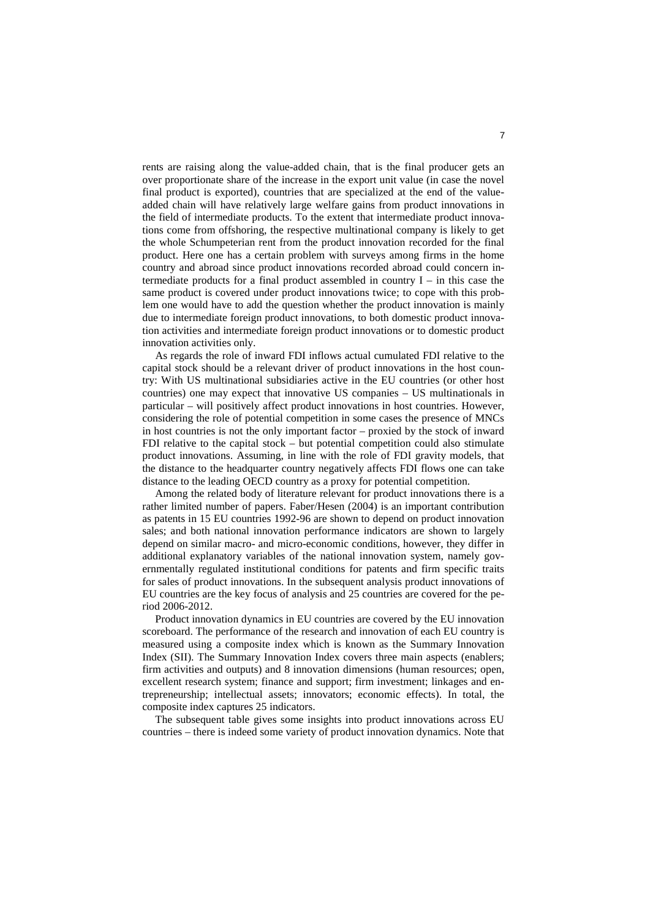rents are raising along the value-added chain, that is the final producer gets an over proportionate share of the increase in the export unit value (in case the novel final product is exported), countries that are specialized at the end of the valueadded chain will have relatively large welfare gains from product innovations in the field of intermediate products. To the extent that intermediate product innovations come from offshoring, the respective multinational company is likely to get the whole Schumpeterian rent from the product innovation recorded for the final product. Here one has a certain problem with surveys among firms in the home country and abroad since product innovations recorded abroad could concern intermediate products for a final product assembled in country I – in this case the same product is covered under product innovations twice; to cope with this problem one would have to add the question whether the product innovation is mainly due to intermediate foreign product innovations, to both domestic product innovation activities and intermediate foreign product innovations or to domestic product innovation activities only.

As regards the role of inward FDI inflows actual cumulated FDI relative to the capital stock should be a relevant driver of product innovations in the host country: With US multinational subsidiaries active in the EU countries (or other host countries) one may expect that innovative US companies – US multinationals in particular – will positively affect product innovations in host countries. However, considering the role of potential competition in some cases the presence of MNCs in host countries is not the only important factor – proxied by the stock of inward FDI relative to the capital stock – but potential competition could also stimulate product innovations. Assuming, in line with the role of FDI gravity models, that the distance to the headquarter country negatively affects FDI flows one can take distance to the leading OECD country as a proxy for potential competition.

Among the related body of literature relevant for product innovations there is a rather limited number of papers. Faber/Hesen (2004) is an important contribution as patents in 15 EU countries 1992-96 are shown to depend on product innovation sales; and both national innovation performance indicators are shown to largely depend on similar macro- and micro-economic conditions, however, they differ in additional explanatory variables of the national innovation system, namely governmentally regulated institutional conditions for patents and firm specific traits for sales of product innovations. In the subsequent analysis product innovations of EU countries are the key focus of analysis and 25 countries are covered for the period 2006-2012.

Product innovation dynamics in EU countries are covered by the EU innovation scoreboard. The performance of the research and innovation of each EU country is measured using a composite index which is known as the Summary Innovation Index (SII). The Summary Innovation Index covers three main aspects (enablers; firm activities and outputs) and 8 innovation dimensions (human resources; open, excellent research system; finance and support; firm investment; linkages and entrepreneurship; intellectual assets; innovators; economic effects). In total, the composite index captures 25 indicators.

The subsequent table gives some insights into product innovations across EU countries – there is indeed some variety of product innovation dynamics. Note that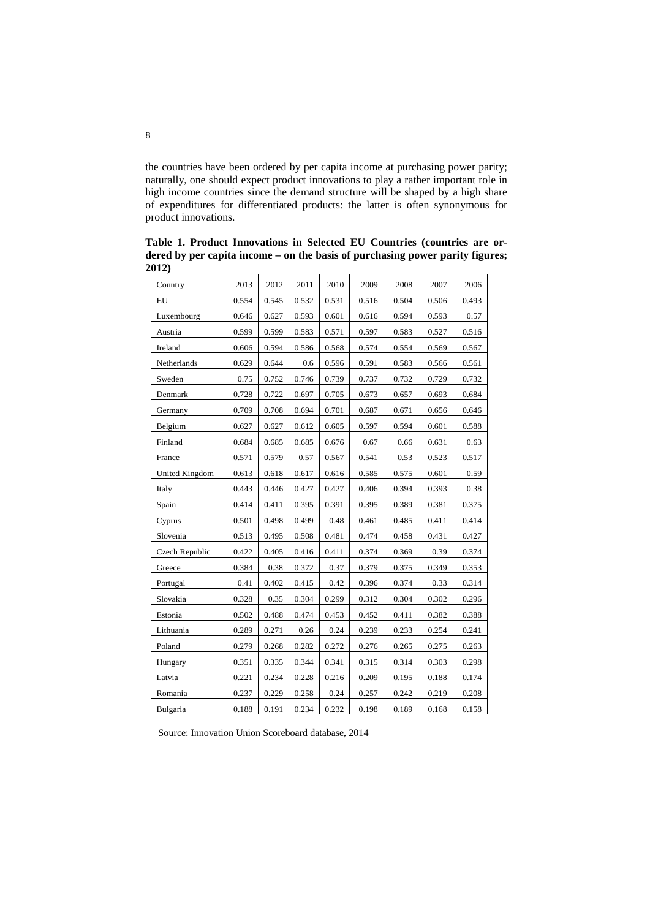the countries have been ordered by per capita income at purchasing power parity; naturally, one should expect product innovations to play a rather important role in high income countries since the demand structure will be shaped by a high share of expenditures for differentiated products: the latter is often synonymous for product innovations.

Country 2013 2012 2011 2010 2009 2008 2007 2006 EU 0.554 0.545 0.532 0.531 0.516 0.504 0.506 0.493 Luxembourg | 0.646 0.627 0.593 0.601 0.616 0.594 0.593 0.57 Austria 0.599 0.599 0.583 0.571 0.597 0.583 0.527 0.516 Ireland 0.606 0.594 0.586 0.568 0.574 0.554 0.569 0.567 Netherlands 0.629 0.644 0.6 0.596 0.591 0.583 0.566 0.561 Sweden 1 0.75 0.752 0.746 0.739 0.737 0.732 0.729 0.732 Denmark 1 0.728 0.722 0.697 0.705 0.673 0.657 0.693 0.684 Germany 10.709 0.708 0.694 0.701 0.687 0.671 0.656 0.646 Belgium 0.627 0.627 0.612 0.605 0.597 0.594 0.601 0.588 Finland 1 0.684 0.685 0.685 0.676 0.67 0.66 0.631 0.63 France 0.571 0.579 0.57 0.567 0.541 0.53 0.523 0.517 United Kingdom 0.613 0.618 0.617 0.616 0.585 0.575 0.601 0.59 Italy 0.443 0.446 0.427 0.427 0.406 0.394 0.393 0.38 Spain 0.414 0.411 0.395 0.391 0.395 0.389 0.381 0.375 Cyprus  $\begin{bmatrix} 0.501 & 0.498 & 0.499 & 0.48 & 0.461 & 0.485 & 0.411 & 0.414 \end{bmatrix}$ Slovenia 19.513 0.495 0.508 0.481 0.474 0.458 0.431 0.427 Czech Republic 0.422 0.405 0.416 0.411 0.374 0.369 0.39 0.374 Greece 0.384 0.38 0.372 0.37 0.379 0.375 0.349 0.353 Portugal 0.41 0.402 0.415 0.42 0.396 0.374 0.33 0.314 Slovakia 0.328 0.35 0.304 0.299 0.312 0.304 0.302 0.296 Estonia 0.502 0.488 0.474 0.453 0.452 0.411 0.382 0.388 Lithuania 0.289 0.271 0.26 0.24 0.239 0.233 0.254 0.241 Poland 10.279 0.268 0.282 0.272 0.276 0.265 0.275 0.263 Hungary 0.351 0.335 0.344 0.341 0.315 0.314 0.303 0.298 Latvia 0.221 0.234 0.228 0.216 0.209 0.195 0.188 0.174 Romania 0.237 0.229 0.258 0.24 0.257 0.242 0.219 0.208 Bulgaria 0.188 0.191 0.234 0.232 0.198 0.189 0.168 0.158

**Table 1. Product Innovations in Selected EU Countries (countries are ordered by per capita income – on the basis of purchasing power parity figures; 2012)**

Source: Innovation Union Scoreboard database, 2014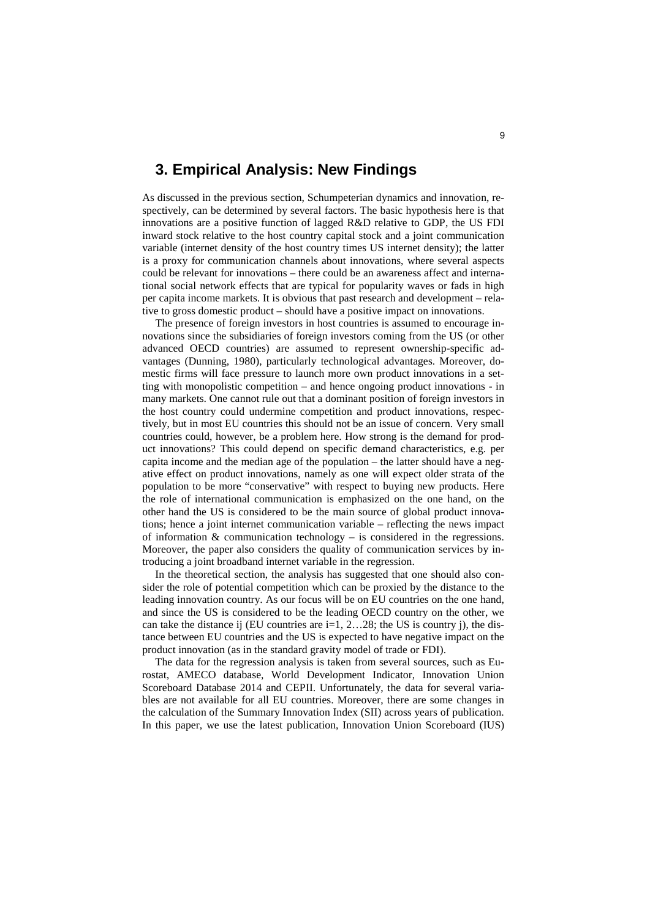#### <span id="page-9-0"></span>**3. Empirical Analysis: New Findings**

As discussed in the previous section, Schumpeterian dynamics and innovation, respectively, can be determined by several factors. The basic hypothesis here is that innovations are a positive function of lagged R&D relative to GDP, the US FDI inward stock relative to the host country capital stock and a joint communication variable (internet density of the host country times US internet density); the latter is a proxy for communication channels about innovations, where several aspects could be relevant for innovations – there could be an awareness affect and international social network effects that are typical for popularity waves or fads in high per capita income markets. It is obvious that past research and development – relative to gross domestic product – should have a positive impact on innovations.

The presence of foreign investors in host countries is assumed to encourage innovations since the subsidiaries of foreign investors coming from the US (or other advanced OECD countries) are assumed to represent ownership-specific advantages (Dunning, 1980), particularly technological advantages. Moreover, domestic firms will face pressure to launch more own product innovations in a setting with monopolistic competition – and hence ongoing product innovations - in many markets. One cannot rule out that a dominant position of foreign investors in the host country could undermine competition and product innovations, respectively, but in most EU countries this should not be an issue of concern. Very small countries could, however, be a problem here. How strong is the demand for product innovations? This could depend on specific demand characteristics, e.g. per capita income and the median age of the population – the latter should have a negative effect on product innovations, namely as one will expect older strata of the population to be more "conservative" with respect to buying new products. Here the role of international communication is emphasized on the one hand, on the other hand the US is considered to be the main source of global product innovations; hence a joint internet communication variable – reflecting the news impact of information  $&$  communication technology – is considered in the regressions. Moreover, the paper also considers the quality of communication services by introducing a joint broadband internet variable in the regression.

In the theoretical section, the analysis has suggested that one should also consider the role of potential competition which can be proxied by the distance to the leading innovation country. As our focus will be on EU countries on the one hand, and since the US is considered to be the leading OECD country on the other, we can take the distance ij (EU countries are  $i=1, 2...28$ ; the US is country j), the distance between EU countries and the US is expected to have negative impact on the product innovation (as in the standard gravity model of trade or FDI).

The data for the regression analysis is taken from several sources, such as Eurostat, AMECO database, World Development Indicator, Innovation Union Scoreboard Database 2014 and CEPII. Unfortunately, the data for several variables are not available for all EU countries. Moreover, there are some changes in the calculation of the Summary Innovation Index (SII) across years of publication. In this paper, we use the latest publication, Innovation Union Scoreboard (IUS)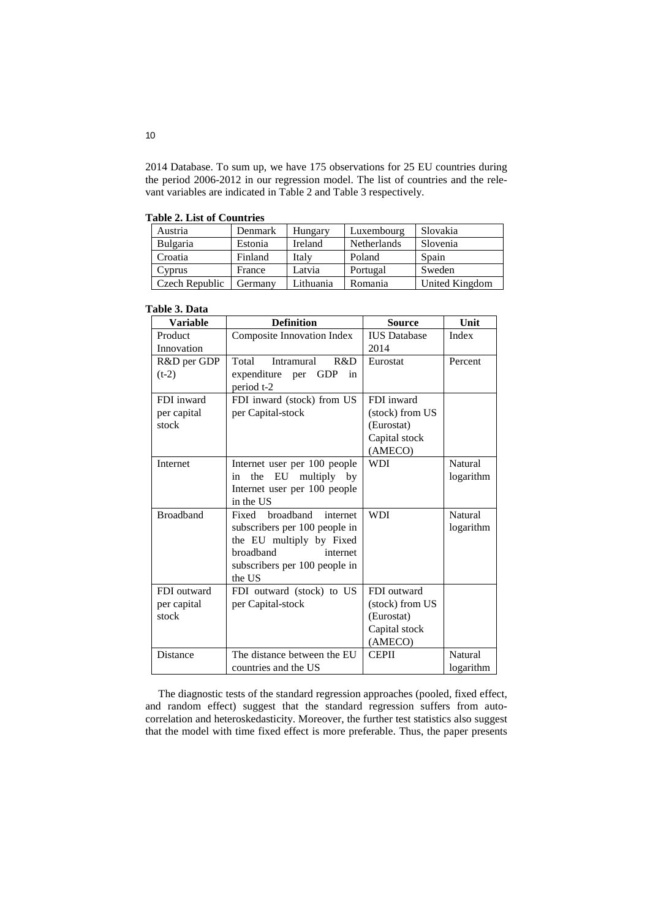2014 Database. To sum up, we have 175 observations for 25 EU countries during the period 2006-2012 in our regression model. The list of countries and the relevant variables are indicated in Table 2 and Table 3 respectively.

**Table 2. List of Countries**

| Austria        | Denmark | Hungary        | Luxembourg         | Slovakia       |
|----------------|---------|----------------|--------------------|----------------|
| Bulgaria       | Estonia | <b>Ireland</b> | <b>Netherlands</b> | Slovenia       |
| Croatia        | Finland | Italy          | Poland             | Spain          |
| Cyprus         | France  | Latvia         | Portugal           | Sweden         |
| Czech Republic | Germany | Lithuania      | Romania            | United Kingdom |

| Table 3. Data |  |
|---------------|--|
|               |  |

| <b>Variable</b>  | <b>Definition</b>                          | <b>Source</b>       | Unit           |
|------------------|--------------------------------------------|---------------------|----------------|
| Product          | Composite Innovation Index                 | <b>IUS</b> Database | Index          |
| Innovation       |                                            | 2014                |                |
| R&D per GDP      | R&D<br>Total<br>Intramural                 | Eurostat            | Percent        |
| $(t-2)$          | expenditure<br>per GDP<br>in<br>period t-2 |                     |                |
| FDI inward       | FDI inward (stock) from US                 | FDI inward          |                |
| per capital      | per Capital-stock                          | (stock) from US     |                |
| stock            |                                            | (Eurostat)          |                |
|                  |                                            | Capital stock       |                |
|                  |                                            | (AMECO)             |                |
| Internet         | Internet user per 100 people               | <b>WDI</b>          | Natural        |
|                  | EU multiply by<br>the<br>in                |                     | logarithm      |
|                  | Internet user per 100 people               |                     |                |
|                  | in the US                                  |                     |                |
| <b>Broadband</b> | Fixed broadband<br>internet                | <b>WDI</b>          | <b>Natural</b> |
|                  | subscribers per 100 people in              |                     | logarithm      |
|                  | the EU multiply by Fixed                   |                     |                |
|                  | broadband<br>internet                      |                     |                |
|                  | subscribers per 100 people in              |                     |                |
|                  | the US                                     |                     |                |
| FDI outward      | FDI outward (stock) to US                  | FDI outward         |                |
| per capital      | per Capital-stock                          | (stock) from US     |                |
| stock            |                                            | (Eurostat)          |                |
|                  |                                            | Capital stock       |                |
|                  |                                            | (AMECO)             |                |
| Distance         | The distance between the EU                | <b>CEPII</b>        | Natural        |
|                  | countries and the US                       |                     | logarithm      |

The diagnostic tests of the standard regression approaches (pooled, fixed effect, and random effect) suggest that the standard regression suffers from autocorrelation and heteroskedasticity. Moreover, the further test statistics also suggest that the model with time fixed effect is more preferable. Thus, the paper presents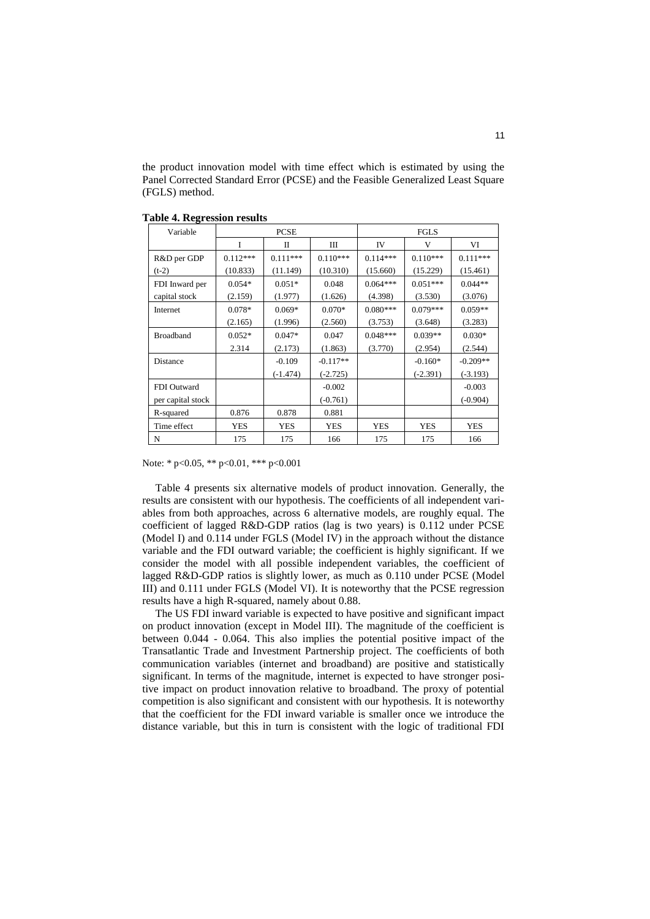the product innovation model with time effect which is estimated by using the Panel Corrected Standard Error (PCSE) and the Feasible Generalized Least Square (FGLS) method.

| Variable          | <b>PCSE</b> |            | <b>FGLS</b> |            |            |            |
|-------------------|-------------|------------|-------------|------------|------------|------------|
|                   | T           | П          | Ш           | IV         | V          | VI         |
| R&D per GDP       | $0.112***$  | $0.111***$ | $0.110***$  | $0.114***$ | $0.110***$ | $0.111***$ |
| $(t-2)$           | (10.833)    | (11.149)   | (10.310)    | (15.660)   | (15.229)   | (15.461)   |
| FDI Inward per    | $0.054*$    | $0.051*$   | 0.048       | $0.064***$ | $0.051***$ | $0.044**$  |
| capital stock     | (2.159)     | (1.977)    | (1.626)     | (4.398)    | (3.530)    | (3.076)    |
| Internet          | $0.078*$    | $0.069*$   | $0.070*$    | $0.080***$ | $0.079***$ | $0.059**$  |
|                   | (2.165)     | (1.996)    | (2.560)     | (3.753)    | (3.648)    | (3.283)    |
| <b>Broadband</b>  | $0.052*$    | $0.047*$   | 0.047       | $0.048***$ | $0.039**$  | $0.030*$   |
|                   | 2.314       | (2.173)    | (1.863)     | (3.770)    | (2.954)    | (2.544)    |
| Distance          |             | $-0.109$   | $-0.117**$  |            | $-0.160*$  | $-0.209**$ |
|                   |             | $(-1.474)$ | $(-2.725)$  |            | $(-2.391)$ | $(-3.193)$ |
| FDI Outward       |             |            | $-0.002$    |            |            | $-0.003$   |
| per capital stock |             |            | $(-0.761)$  |            |            | $(-0.904)$ |
| R-squared         | 0.876       | 0.878      | 0.881       |            |            |            |
| Time effect       | YES         | <b>YES</b> | YES         | <b>YES</b> | <b>YES</b> | <b>YES</b> |
| N                 | 175         | 175        | 166         | 175        | 175        | 166        |

**Table 4. Regression results**

Note: \* p<0.05, \*\* p<0.01, \*\*\* p<0.001

Table 4 presents six alternative models of product innovation. Generally, the results are consistent with our hypothesis. The coefficients of all independent variables from both approaches, across 6 alternative models, are roughly equal. The coefficient of lagged R&D-GDP ratios (lag is two years) is 0.112 under PCSE (Model I) and 0.114 under FGLS (Model IV) in the approach without the distance variable and the FDI outward variable; the coefficient is highly significant. If we consider the model with all possible independent variables, the coefficient of lagged R&D-GDP ratios is slightly lower, as much as 0.110 under PCSE (Model III) and 0.111 under FGLS (Model VI). It is noteworthy that the PCSE regression results have a high R-squared, namely about 0.88.

The US FDI inward variable is expected to have positive and significant impact on product innovation (except in Model III). The magnitude of the coefficient is between 0.044 - 0.064. This also implies the potential positive impact of the Transatlantic Trade and Investment Partnership project. The coefficients of both communication variables (internet and broadband) are positive and statistically significant. In terms of the magnitude, internet is expected to have stronger positive impact on product innovation relative to broadband. The proxy of potential competition is also significant and consistent with our hypothesis. It is noteworthy that the coefficient for the FDI inward variable is smaller once we introduce the distance variable, but this in turn is consistent with the logic of traditional FDI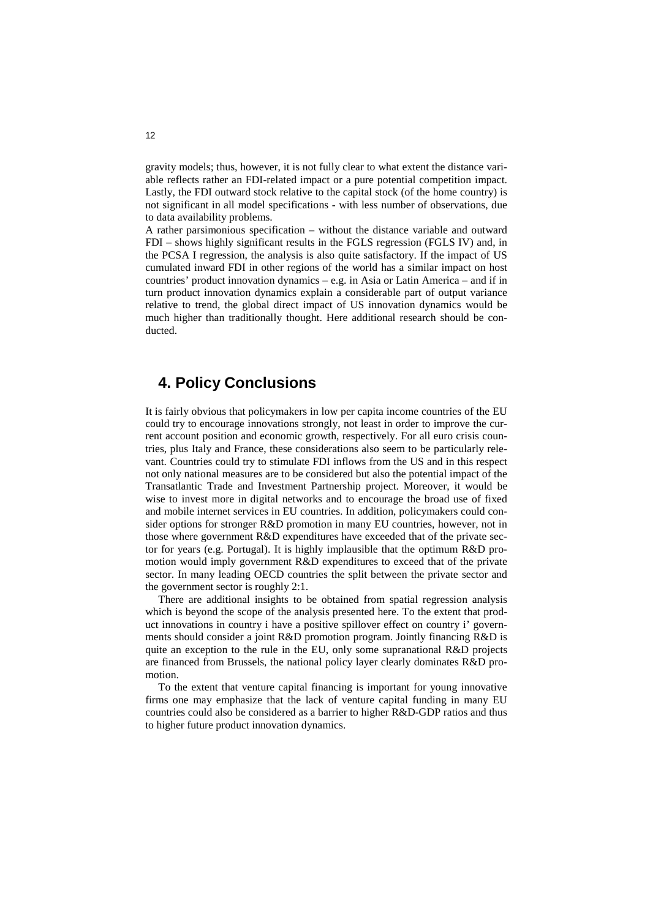gravity models; thus, however, it is not fully clear to what extent the distance variable reflects rather an FDI-related impact or a pure potential competition impact. Lastly, the FDI outward stock relative to the capital stock (of the home country) is not significant in all model specifications - with less number of observations, due to data availability problems.

A rather parsimonious specification – without the distance variable and outward FDI – shows highly significant results in the FGLS regression (FGLS IV) and, in the PCSA I regression, the analysis is also quite satisfactory. If the impact of US cumulated inward FDI in other regions of the world has a similar impact on host countries' product innovation dynamics – e.g. in Asia or Latin America – and if in turn product innovation dynamics explain a considerable part of output variance relative to trend, the global direct impact of US innovation dynamics would be much higher than traditionally thought. Here additional research should be conducted.

### <span id="page-12-0"></span>**4. Policy Conclusions**

It is fairly obvious that policymakers in low per capita income countries of the EU could try to encourage innovations strongly, not least in order to improve the current account position and economic growth, respectively. For all euro crisis countries, plus Italy and France, these considerations also seem to be particularly relevant. Countries could try to stimulate FDI inflows from the US and in this respect not only national measures are to be considered but also the potential impact of the Transatlantic Trade and Investment Partnership project. Moreover, it would be wise to invest more in digital networks and to encourage the broad use of fixed and mobile internet services in EU countries. In addition, policymakers could consider options for stronger R&D promotion in many EU countries, however, not in those where government R&D expenditures have exceeded that of the private sector for years (e.g. Portugal). It is highly implausible that the optimum R&D promotion would imply government R&D expenditures to exceed that of the private sector. In many leading OECD countries the split between the private sector and the government sector is roughly 2:1.

There are additional insights to be obtained from spatial regression analysis which is beyond the scope of the analysis presented here. To the extent that product innovations in country i have a positive spillover effect on country i' governments should consider a joint R&D promotion program. Jointly financing R&D is quite an exception to the rule in the EU, only some supranational R&D projects are financed from Brussels, the national policy layer clearly dominates R&D promotion.

To the extent that venture capital financing is important for young innovative firms one may emphasize that the lack of venture capital funding in many EU countries could also be considered as a barrier to higher R&D-GDP ratios and thus to higher future product innovation dynamics.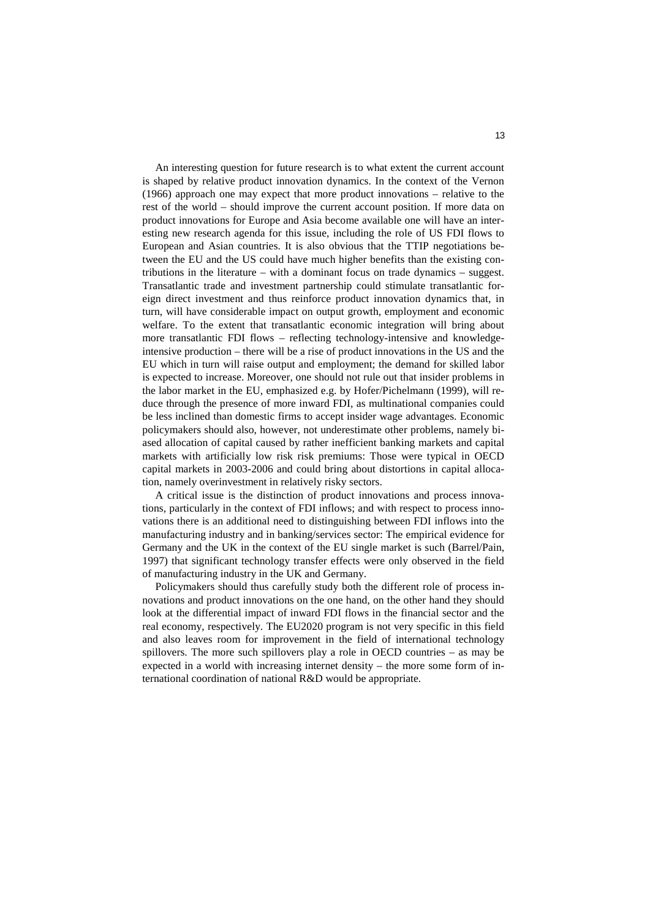An interesting question for future research is to what extent the current account is shaped by relative product innovation dynamics. In the context of the Vernon (1966) approach one may expect that more product innovations – relative to the rest of the world – should improve the current account position. If more data on product innovations for Europe and Asia become available one will have an interesting new research agenda for this issue, including the role of US FDI flows to European and Asian countries. It is also obvious that the TTIP negotiations between the EU and the US could have much higher benefits than the existing contributions in the literature – with a dominant focus on trade dynamics – suggest. Transatlantic trade and investment partnership could stimulate transatlantic foreign direct investment and thus reinforce product innovation dynamics that, in turn, will have considerable impact on output growth, employment and economic welfare. To the extent that transatlantic economic integration will bring about more transatlantic FDI flows – reflecting technology-intensive and knowledgeintensive production – there will be a rise of product innovations in the US and the EU which in turn will raise output and employment; the demand for skilled labor is expected to increase. Moreover, one should not rule out that insider problems in the labor market in the EU, emphasized e.g. by Hofer/Pichelmann (1999), will reduce through the presence of more inward FDI, as multinational companies could be less inclined than domestic firms to accept insider wage advantages. Economic policymakers should also, however, not underestimate other problems, namely biased allocation of capital caused by rather inefficient banking markets and capital markets with artificially low risk risk premiums: Those were typical in OECD capital markets in 2003-2006 and could bring about distortions in capital allocation, namely overinvestment in relatively risky sectors.

A critical issue is the distinction of product innovations and process innovations, particularly in the context of FDI inflows; and with respect to process innovations there is an additional need to distinguishing between FDI inflows into the manufacturing industry and in banking/services sector: The empirical evidence for Germany and the UK in the context of the EU single market is such (Barrel/Pain, 1997) that significant technology transfer effects were only observed in the field of manufacturing industry in the UK and Germany.

Policymakers should thus carefully study both the different role of process innovations and product innovations on the one hand, on the other hand they should look at the differential impact of inward FDI flows in the financial sector and the real economy, respectively. The EU2020 program is not very specific in this field and also leaves room for improvement in the field of international technology spillovers. The more such spillovers play a role in OECD countries – as may be expected in a world with increasing internet density – the more some form of international coordination of national R&D would be appropriate.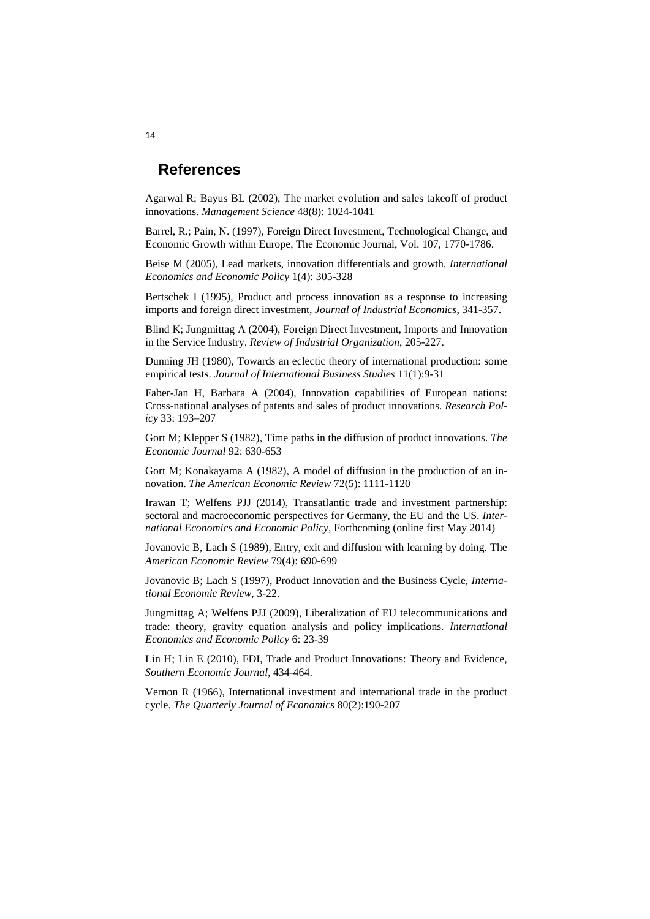#### <span id="page-14-0"></span>**References**

Agarwal R; Bayus BL (2002), The market evolution and sales takeoff of product innovations. *Management Science* 48(8): 1024-1041

Barrel, R.; Pain, N. (1997), Foreign Direct Investment, Technological Change, and Economic Growth within Europe, The Economic Journal, Vol. 107, 1770-1786.

Beise M (2005), Lead markets, innovation differentials and growth. *International Economics and Economic Policy* 1(4): 305-328

Bertschek I (1995), Product and process innovation as a response to increasing imports and foreign direct investment, *Journal of Industrial Economics*, 341-357.

Blind K; Jungmittag A (2004), Foreign Direct Investment, Imports and Innovation in the Service Industry. *Review of Industrial Organization*, 205-227.

Dunning JH (1980), Towards an eclectic theory of international production: some empirical tests. *Journal of International Business Studies* 11(1):9-31

Faber-Jan H, Barbara A (2004), Innovation capabilities of European nations: Cross-national analyses of patents and sales of product innovations. *Research Policy* 33: 193–207

Gort M; Klepper S (1982), Time paths in the diffusion of product innovations. *The Economic Journal* 92: 630-653

Gort M; Konakayama A (1982), A model of diffusion in the production of an innovation. *The American Economic Review* 72(5): 1111-1120

Irawan T; Welfens PJJ (2014), Transatlantic trade and investment partnership: sectoral and macroeconomic perspectives for Germany, the EU and the US. *International Economics and Economic Policy*, Forthcoming (online first May 2014)

Jovanovic B, Lach S (1989), Entry, exit and diffusion with learning by doing. The *American Economic Review* 79(4): 690-699

Jovanovic B; Lach S (1997), Product Innovation and the Business Cycle, *International Economic Review*, 3-22.

Jungmittag A; Welfens PJJ (2009), Liberalization of EU telecommunications and trade: theory, gravity equation analysis and policy implications. *International Economics and Economic Policy* 6: 23-39

Lin H; Lin E (2010), FDI, Trade and Product Innovations: Theory and Evidence, *Southern Economic Journal*, 434-464.

Vernon R (1966), International investment and international trade in the product cycle. *The Quarterly Journal of Economics* 80(2):190-207

14